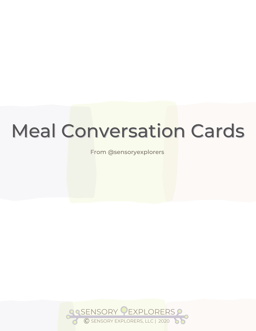From @sensoryexplorers

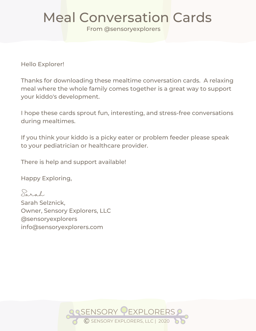From @sensoryexplorers

Hello Explorer!

Thanks for downloading these mealtime conversation cards. A relaxing meal where the whole family comes together is a great way to support your kiddo's development.

I hope these cards sprout fun, interesting, and stress-free conversations during mealtimes.

If you think your kiddo is a picky eater or problem feeder please speak to your pediatrician or healthcare provider.

There is help and support available!

Happy Exploring,

Sarah Sarah Selznick, Owner, Sensory Explorers, LLC @sensoryexplorers info@sensoryexplorers.com

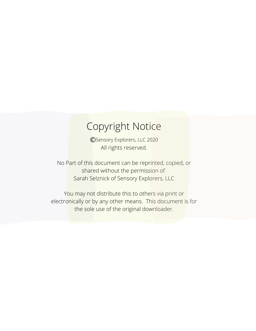#### Copyright Notice

All rights reserved. **C**Sensory Explorers, LLC 2020

No Part of this document can be reprinted, copied, or shared without the permission of Sarah Selznick of Sensory Explorers, LLC

You may not distribute this to others via print or electronically or by any other means. This document is for the sole use of the original downloader.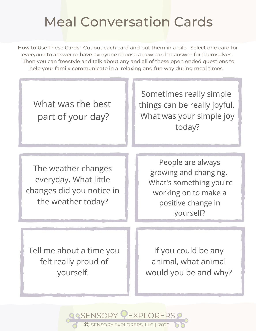How to Use These Cards: Cut out each card and put them in a pile. Select one card for everyone to answer or have everyone choose a new card to answer for themselves. Then you can freestyle and talk about any and all of these open ended questions to help your family communicate in a relaxing and fun way during meal times.

What was the best part of your day? Sometimes really simple things can be really joyful. What was your simple joy today? The weather changes everyday. What little changes did you notice in the weather today? People are always growing and changing. What's something you're working on to make a positive change in yourself? Tell me about a time you If you could be any

**ASENSORY PEXPLORERS** 

© SENSORY EXPLORERS, LLC <sup>|</sup> <sup>2020</sup>

felt really proud of yourself.

animal, what animal would you be and why?